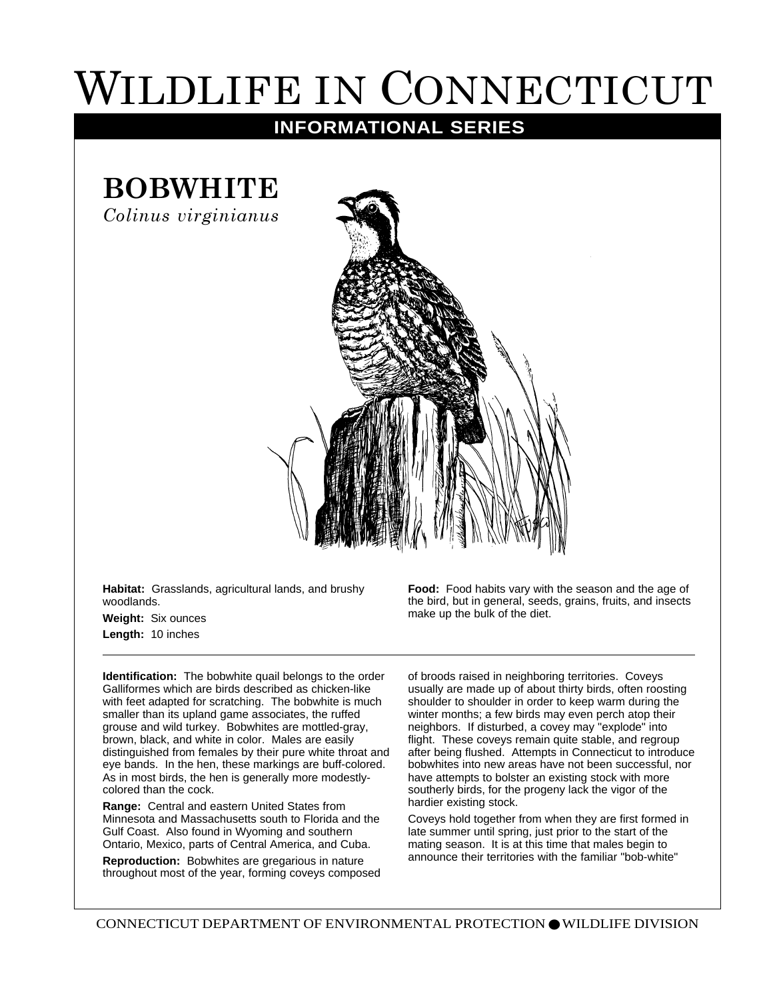## WILDLIFE IN CONNECTICUT

## **INFORMATIONAL SERIES**

## **BOBWHITE**

*Colinus virginianus*



**Habitat:** Grasslands, agricultural lands, and brushy woodlands.

**Weight:** Six ounces **Length:** 10 inches

**Identification:** The bobwhite quail belongs to the order Galliformes which are birds described as chicken-like with feet adapted for scratching. The bobwhite is much smaller than its upland game associates, the ruffed grouse and wild turkey. Bobwhites are mottled-gray, brown, black, and white in color. Males are easily distinguished from females by their pure white throat and eye bands. In the hen, these markings are buff-colored. As in most birds, the hen is generally more modestlycolored than the cock.

**Range:** Central and eastern United States from Minnesota and Massachusetts south to Florida and the Gulf Coast. Also found in Wyoming and southern Ontario, Mexico, parts of Central America, and Cuba.

**Reproduction:** Bobwhites are gregarious in nature throughout most of the year, forming coveys composed

**Food:** Food habits vary with the season and the age of the bird, but in general, seeds, grains, fruits, and insects make up the bulk of the diet.

of broods raised in neighboring territories. Coveys usually are made up of about thirty birds, often roosting shoulder to shoulder in order to keep warm during the winter months; a few birds may even perch atop their neighbors. If disturbed, a covey may "explode" into flight. These coveys remain quite stable, and regroup after being flushed. Attempts in Connecticut to introduce bobwhites into new areas have not been successful, nor have attempts to bolster an existing stock with more southerly birds, for the progeny lack the vigor of the hardier existing stock.

Coveys hold together from when they are first formed in late summer until spring, just prior to the start of the mating season. It is at this time that males begin to announce their territories with the familiar "bob-white"